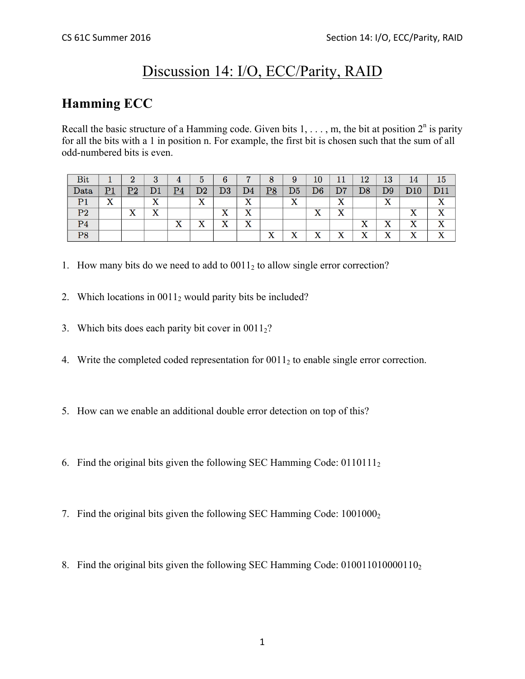# Discussion 14: I/O, ECC/Parity, RAID

#### **Hamming ECC**

Recall the basic structure of a Hamming code. Given bits  $1, \ldots, m$ , the bit at position  $2^n$  is parity for all the bits with a 1 in position n. For example, the first bit is chosen such that the sum of all odd-numbered bits is even.

| Bit            |    | റ                                    | 3        | 4                 | b               | 6                            |                           | 8                                      | 9                         | 10                        |                                        | 12             | 13                        | 14                            | 15 |
|----------------|----|--------------------------------------|----------|-------------------|-----------------|------------------------------|---------------------------|----------------------------------------|---------------------------|---------------------------|----------------------------------------|----------------|---------------------------|-------------------------------|----|
| Data           | P1 | Dາ<br>⊥ ∠                            | D1       | $\overline{P4}$   | D2              | $\mathrm{D}3$                | D4                        | $\underline{P8}$                       | D <sub>5</sub>            | ${\rm D}6$                | D7                                     | D8             | D9                        | D10                           |    |
| P <sub>1</sub> | X  |                                      | ٦z<br>́́ |                   | ٦Z<br>$\Lambda$ |                              | ٦Z<br>$\Lambda$           |                                        | $\mathbf{v}$<br>$\Lambda$ |                           | $\mathbf{x}$<br>$\Lambda$              |                | $\mathbf{v}$<br>$\Lambda$ |                               |    |
| P <sub>2</sub> |    | $\overline{\mathbf{x}}$<br>$\Lambda$ | xz<br>л  |                   |                 | $\mathbf{v}$<br>$\bf{A}$     | xz<br>$\Lambda$           |                                        |                           | v<br>$\Lambda$            | xz<br>$\Lambda$                        |                |                           | $\Lambda$                     | v  |
| P <sub>4</sub> |    |                                      |          | v<br>$\mathbf{A}$ | v<br>$\Lambda$  | $\mathbf{v}$<br>$\mathbf{A}$ | $\mathbf{v}$<br>$\Lambda$ |                                        |                           |                           |                                        | v<br>$\Lambda$ | v<br>$\Lambda$            | $\overline{\mathbf{x}}$<br>́́ |    |
| P <sub>8</sub> |    |                                      |          |                   |                 |                              |                           | $\mathbf{v}$<br>$\boldsymbol{\Lambda}$ | $\mathbf{v}$<br>$\Lambda$ | $\mathbf{v}$<br>$\Lambda$ | $\mathbf{x}$<br>$\boldsymbol{\Lambda}$ | ٦Z<br>△        | $\mathbf v$<br>$\Lambda$  | $\mathbf{v}$<br>$\Lambda$     | xz |

- 1. How many bits do we need to add to  $0.011_2$  to allow single error correction?
- 2. Which locations in  $0.011<sub>2</sub>$  would parity bits be included?
- 3. Which bits does each parity bit cover in  $0011_2$ ?
- 4. Write the completed coded representation for 0011<sub>2</sub> to enable single error correction.
- 5. How can we enable an additional double error detection on top of this?
- 6. Find the original bits given the following SEC Hamming Code:  $0110111_2$
- 7. Find the original bits given the following SEC Hamming Code:  $1001000<sub>2</sub>$
- 8. Find the original bits given the following SEC Hamming Code: 010011010000110<sub>2</sub>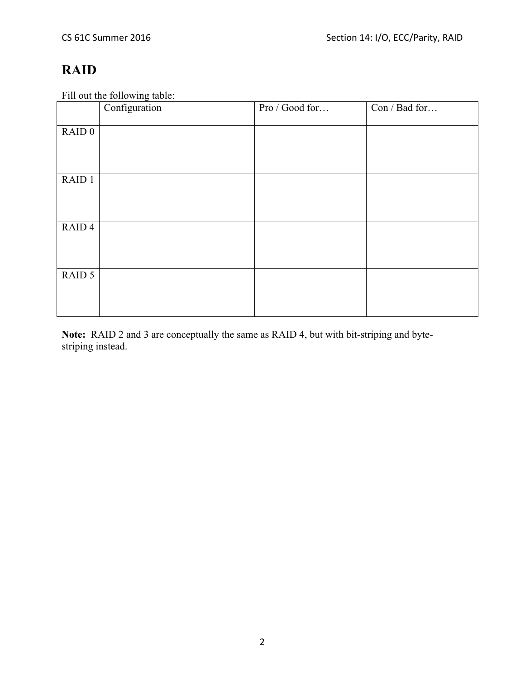## **RAID**

Fill out the following table:

|                   | Configuration | Pro / Good for | Con / Bad for |
|-------------------|---------------|----------------|---------------|
| RAID <sub>0</sub> |               |                |               |
|                   |               |                |               |
|                   |               |                |               |
| RAID 1            |               |                |               |
|                   |               |                |               |
|                   |               |                |               |
| RAID <sub>4</sub> |               |                |               |
|                   |               |                |               |
| RAID 5            |               |                |               |
|                   |               |                |               |
|                   |               |                |               |
|                   |               |                |               |

**Note:** RAID 2 and 3 are conceptually the same as RAID 4, but with bit-striping and bytestriping instead.